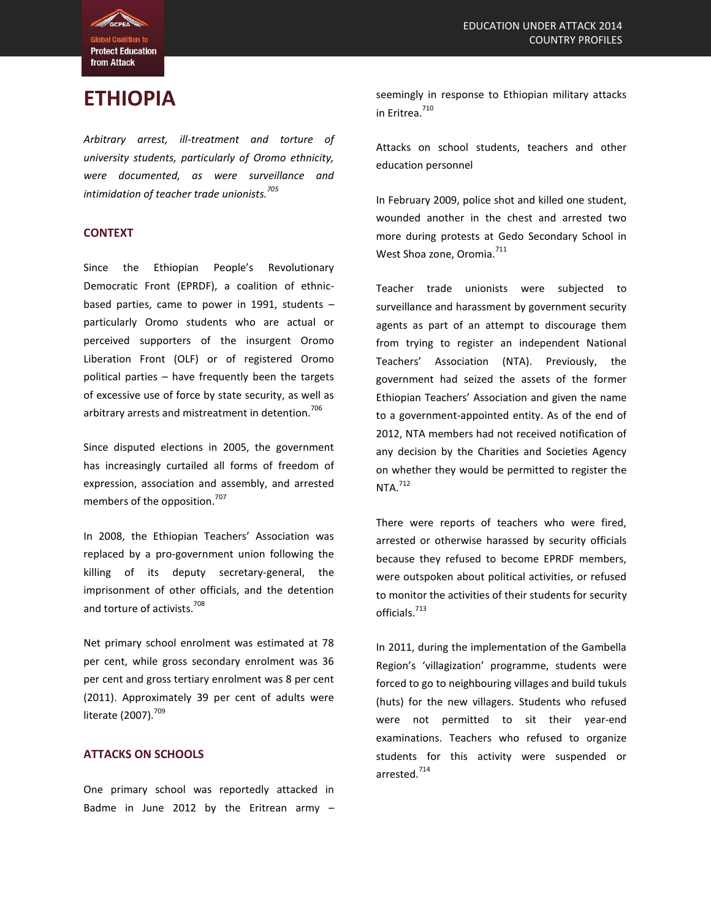**Protect Education** from Attack

# **ETHIOPIA**

*Arbitrary arrest, ill-treatment and torture of university students, particularly of Oromo ethnicity, were documented, as were surveillance and intimidation of teacher trade unionists.<sup>705</sup>*

### **CONTEXT**

Since the Ethiopian People's Revolutionary Democratic Front (EPRDF), a coalition of ethnicbased parties, came to power in 1991, students – particularly Oromo students who are actual or perceived supporters of the insurgent Oromo Liberation Front (OLF) or of registered Oromo political parties – have frequently been the targets of excessive use of force by state security, as well as arbitrary arrests and mistreatment in detention.<sup>706</sup>

Since disputed elections in 2005, the government has increasingly curtailed all forms of freedom of expression, association and assembly, and arrested members of the opposition.<sup>707</sup>

In 2008, the Ethiopian Teachers' Association was replaced by a pro-government union following the killing of its deputy secretary-general, the imprisonment of other officials, and the detention and torture of activists.<sup>708</sup>

Net primary school enrolment was estimated at 78 per cent, while gross secondary enrolment was 36 per cent and gross tertiary enrolment was 8 per cent (2011). Approximately 39 per cent of adults were literate (2007).<sup>709</sup>

## **ATTACKS ON SCHOOLS**

One primary school was reportedly attacked in Badme in June 2012 by the Eritrean army  $-$ 

seemingly in response to Ethiopian military attacks in Eritrea.<sup>710</sup>

Attacks on school students, teachers and other education personnel

In February 2009, police shot and killed one student, wounded another in the chest and arrested two more during protests at Gedo Secondary School in West Shoa zone, Oromia.<sup>711</sup>

Teacher trade unionists were subjected to surveillance and harassment by government security agents as part of an attempt to discourage them from trying to register an independent National Teachers' Association (NTA). Previously, the government had seized the assets of the former Ethiopian Teachers' Association and given the name to a government-appointed entity. As of the end of 2012, NTA members had not received notification of any decision by the Charities and Societies Agency on whether they would be permitted to register the  $NTA.<sup>712</sup>$ 

There were reports of teachers who were fired, arrested or otherwise harassed by security officials because they refused to become EPRDF members, were outspoken about political activities, or refused to monitor the activities of their students for security officials.<sup>713</sup>

In 2011, during the implementation of the Gambella Region's 'villagization' programme, students were forced to go to neighbouring villages and build tukuls (huts) for the new villagers. Students who refused were not permitted to sit their year-end examinations. Teachers who refused to organize students for this activity were suspended or arrested.<sup>714</sup>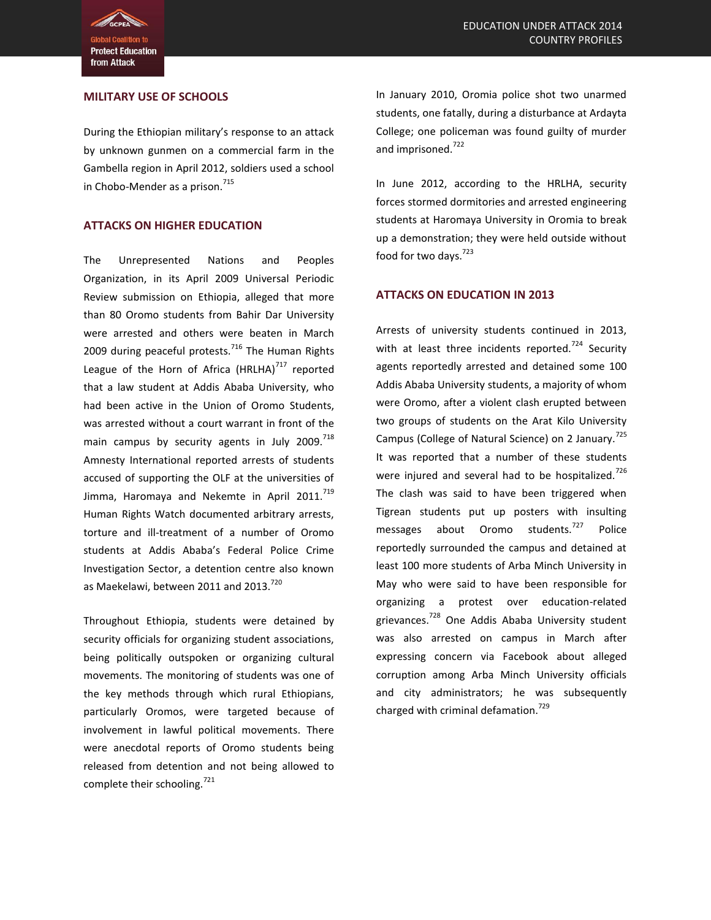**Protect Education** from Attack

### **MILITARY USE OF SCHOOLS**

During the Ethiopian military's response to an attack by unknown gunmen on a commercial farm in the Gambella region in April 2012, soldiers used a school in Chobo-Mender as a prison.<sup>715</sup>

### **ATTACKS ON HIGHER EDUCATION**

The Unrepresented Nations and Peoples Organization, in its April 2009 Universal Periodic Review submission on Ethiopia, alleged that more than 80 Oromo students from Bahir Dar University were arrested and others were beaten in March 2009 during peaceful protests. $^{716}$  The Human Rights League of the Horn of Africa (HRLHA) $^{717}$  reported that a law student at Addis Ababa University, who had been active in the Union of Oromo Students, was arrested without a court warrant in front of the main campus by security agents in July 2009. $^{718}$ Amnesty International reported arrests of students accused of supporting the OLF at the universities of Jimma, Haromaya and Nekemte in April 2011.<sup>719</sup> Human Rights Watch documented arbitrary arrests, torture and ill-treatment of a number of Oromo students at Addis Ababa's Federal Police Crime Investigation Sector, a detention centre also known as Maekelawi, between 2011 and 2013.<sup>720</sup>

Throughout Ethiopia, students were detained by security officials for organizing student associations, being politically outspoken or organizing cultural movements. The monitoring of students was one of the key methods through which rural Ethiopians, particularly Oromos, were targeted because of involvement in lawful political movements. There were anecdotal reports of Oromo students being released from detention and not being allowed to complete their schooling.<sup>721</sup>

In January 2010, Oromia police shot two unarmed students, one fatally, during a disturbance at Ardayta College; one policeman was found guilty of murder and imprisoned.<sup>722</sup>

In June 2012, according to the HRLHA, security forces stormed dormitories and arrested engineering students at Haromaya University in Oromia to break up a demonstration; they were held outside without food for two days.<sup>723</sup>

#### **ATTACKS ON EDUCATION IN 2013**

Arrests of university students continued in 2013, with at least three incidents reported.<sup>724</sup> Security agents reportedly arrested and detained some 100 Addis Ababa University students, a majority of whom were Oromo, after a violent clash erupted between two groups of students on the Arat Kilo University Campus (College of Natural Science) on 2 January.<sup>725</sup> It was reported that a number of these students were injured and several had to be hospitalized.<sup>726</sup> The clash was said to have been triggered when Tigrean students put up posters with insulting messages about Oromo students.<sup>727</sup> Police reportedly surrounded the campus and detained at least 100 more students of Arba Minch University in May who were said to have been responsible for organizing a protest over education-related grievances.<sup>728</sup> One Addis Ababa University student was also arrested on campus in March after expressing concern via Facebook about alleged corruption among Arba Minch University officials and city administrators; he was subsequently charged with criminal defamation.<sup>729</sup>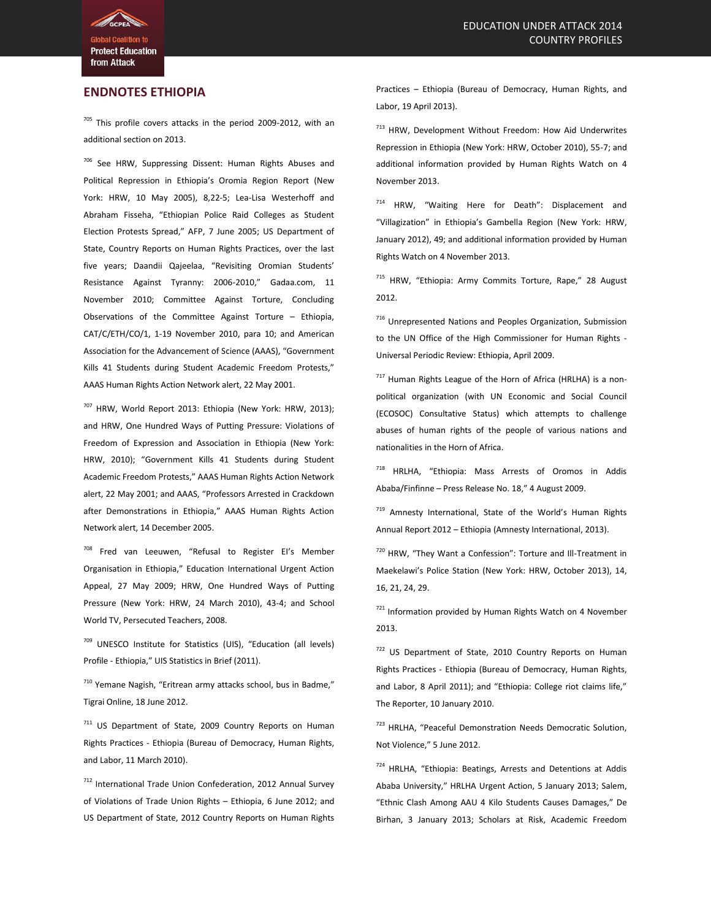**Protect Education** from Attack

### **ENDNOTES ETHIOPIA**

 $705$  This profile covers attacks in the period 2009-2012, with an additional section on 2013.

<sup>706</sup> See HRW, Suppressing Dissent: Human Rights Abuses and Political Repression in Ethiopia's Oromia Region Report (New York: HRW, 10 May 2005), 8,22-5; Lea-Lisa Westerhoff and Abraham Fisseha, "Ethiopian Police Raid Colleges as Student Election Protests Spread," AFP, 7 June 2005; US Department of State, Country Reports on Human Rights Practices, over the last five years; Daandii Qajeelaa, "Revisiting Oromian Students' Resistance Against Tyranny: 2006-2010," Gadaa.com, 11 November 2010; Committee Against Torture, Concluding Observations of the Committee Against Torture – Ethiopia, CAT/C/ETH/CO/1, 1-19 November 2010, para 10; and American Association for the Advancement of Science (AAAS), "Government Kills 41 Students during Student Academic Freedom Protests," AAAS Human Rights Action Network alert, 22 May 2001.

<sup>707</sup> HRW, World Report 2013: Ethiopia (New York: HRW, 2013); and HRW, One Hundred Ways of Putting Pressure: Violations of Freedom of Expression and Association in Ethiopia (New York: HRW, 2010); "Government Kills 41 Students during Student Academic Freedom Protests," AAAS Human Rights Action Network alert, 22 May 2001; and AAAS, "Professors Arrested in Crackdown after Demonstrations in Ethiopia," AAAS Human Rights Action Network alert, 14 December 2005.

<sup>708</sup> Fred van Leeuwen, "Refusal to Register EI's Member Organisation in Ethiopia," Education International Urgent Action Appeal, 27 May 2009; HRW, One Hundred Ways of Putting Pressure (New York: HRW, 24 March 2010), 43-4; and School World TV, Persecuted Teachers, 2008.

<sup>709</sup> UNESCO Institute for Statistics (UIS), "Education (all levels) Profile - Ethiopia," UIS Statistics in Brief (2011).

<sup>710</sup> Yemane Nagish, "Eritrean army attacks school, bus in Badme," Tigrai Online, 18 June 2012.

<sup>711</sup> US Department of State, 2009 Country Reports on Human Rights Practices - Ethiopia (Bureau of Democracy, Human Rights, and Labor, 11 March 2010).

712 International Trade Union Confederation, 2012 Annual Survey of Violations of Trade Union Rights – Ethiopia, 6 June 2012; and US Department of State, 2012 Country Reports on Human Rights Practices – Ethiopia (Bureau of Democracy, Human Rights, and Labor, 19 April 2013).

<sup>713</sup> HRW, Development Without Freedom: How Aid Underwrites Repression in Ethiopia (New York: HRW, October 2010), 55-7; and additional information provided by Human Rights Watch on 4 November 2013.

<sup>714</sup> HRW, "Waiting Here for Death": Displacement and "Villagization" in Ethiopia's Gambella Region (New York: HRW, January 2012), 49; and additional information provided by Human Rights Watch on 4 November 2013.

715 HRW, "Ethiopia: Army Commits Torture, Rape," 28 August 2012.

<sup>716</sup> Unrepresented Nations and Peoples Organization, Submission to the UN Office of the High Commissioner for Human Rights - Universal Periodic Review: Ethiopia, April 2009.

 $717$  Human Rights League of the Horn of Africa (HRLHA) is a nonpolitical organization (with UN Economic and Social Council (ECOSOC) Consultative Status) which attempts to challenge abuses of human rights of the people of various nations and nationalities in the Horn of Africa.

<sup>718</sup> HRLHA, "Ethiopia: Mass Arrests of Oromos in Addis Ababa/Finfinne – Press Release No. 18," 4 August 2009.

719 Amnesty International, State of the World's Human Rights Annual Report 2012 – Ethiopia (Amnesty International, 2013).

720 HRW, "They Want a Confession": Torture and Ill-Treatment in Maekelawi's Police Station (New York: HRW, October 2013), 14, 16, 21, 24, 29.

721 Information provided by Human Rights Watch on 4 November 2013.

722 US Department of State, 2010 Country Reports on Human Rights Practices - Ethiopia (Bureau of Democracy, Human Rights, and Labor, 8 April 2011); and "Ethiopia: College riot claims life," The Reporter, 10 January 2010.

723 HRLHA, "Peaceful Demonstration Needs Democratic Solution, Not Violence," 5 June 2012.

724 HRLHA, "Ethiopia: Beatings, Arrests and Detentions at Addis Ababa University," HRLHA Urgent Action, 5 January 2013; Salem, "Ethnic Clash Among AAU 4 Kilo Students Causes Damages," De Birhan, 3 January 2013; Scholars at Risk, Academic Freedom